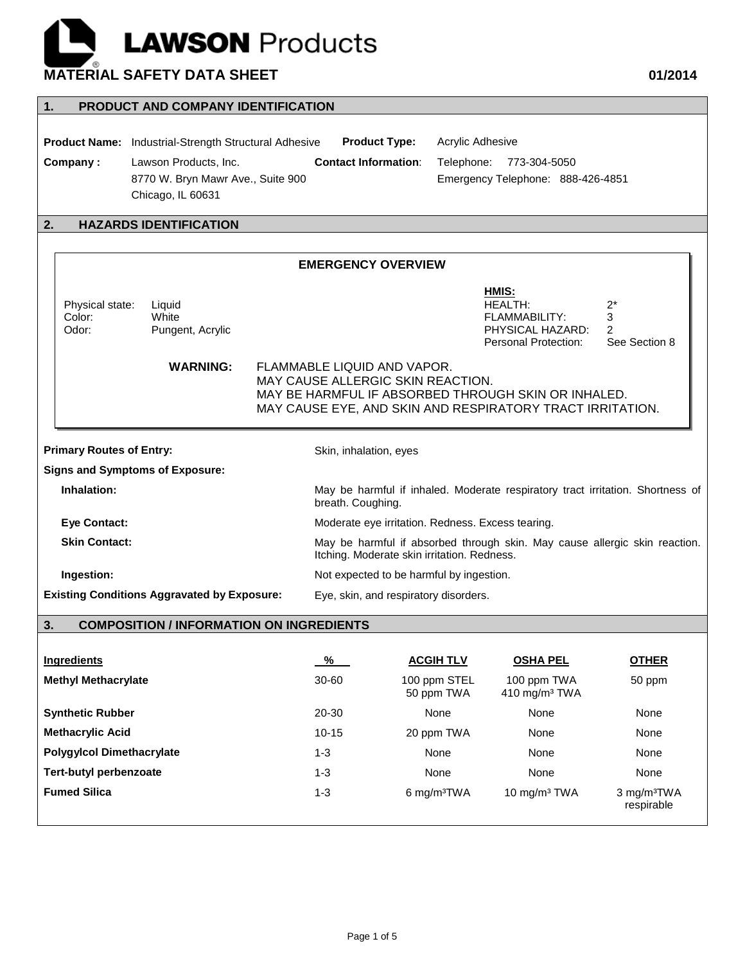## **LAWSON** Products **MATERIAL SAFETY DATA SHEET 01/2014**

| PRODUCT AND COMPANY IDENTIFICATION<br>1. |                                                              |                                                                                                                           |                                                                                   |                                                                                |                                       |  |  |
|------------------------------------------|--------------------------------------------------------------|---------------------------------------------------------------------------------------------------------------------------|-----------------------------------------------------------------------------------|--------------------------------------------------------------------------------|---------------------------------------|--|--|
|                                          |                                                              |                                                                                                                           |                                                                                   |                                                                                |                                       |  |  |
|                                          | <b>Product Name:</b> Industrial-Strength Structural Adhesive | <b>Product Type:</b>                                                                                                      | Acrylic Adhesive                                                                  |                                                                                |                                       |  |  |
| Company:                                 | Lawson Products, Inc.                                        | <b>Contact Information:</b>                                                                                               | Telephone:                                                                        | 773-304-5050                                                                   |                                       |  |  |
|                                          | 8770 W. Bryn Mawr Ave., Suite 900                            |                                                                                                                           |                                                                                   | Emergency Telephone: 888-426-4851                                              |                                       |  |  |
|                                          | Chicago, IL 60631                                            |                                                                                                                           |                                                                                   |                                                                                |                                       |  |  |
| <b>HAZARDS IDENTIFICATION</b><br>2.      |                                                              |                                                                                                                           |                                                                                   |                                                                                |                                       |  |  |
|                                          |                                                              |                                                                                                                           |                                                                                   |                                                                                |                                       |  |  |
|                                          |                                                              | <b>EMERGENCY OVERVIEW</b>                                                                                                 |                                                                                   |                                                                                |                                       |  |  |
|                                          |                                                              |                                                                                                                           |                                                                                   | HMIS:                                                                          |                                       |  |  |
| Physical state:<br>Color:                | Liquid<br>White                                              |                                                                                                                           |                                                                                   | <b>HEALTH:</b><br><b>FLAMMABILITY:</b>                                         | $2^*$                                 |  |  |
| Odor:                                    | Pungent, Acrylic                                             |                                                                                                                           |                                                                                   | PHYSICAL HAZARD:                                                               | 3<br>2                                |  |  |
|                                          |                                                              |                                                                                                                           |                                                                                   | Personal Protection:                                                           | See Section 8                         |  |  |
|                                          | <b>WARNING:</b>                                              | FLAMMABLE LIQUID AND VAPOR.                                                                                               |                                                                                   |                                                                                |                                       |  |  |
|                                          |                                                              | MAY CAUSE ALLERGIC SKIN REACTION.                                                                                         |                                                                                   |                                                                                |                                       |  |  |
|                                          |                                                              | MAY BE HARMFUL IF ABSORBED THROUGH SKIN OR INHALED.<br>MAY CAUSE EYE, AND SKIN AND RESPIRATORY TRACT IRRITATION.          |                                                                                   |                                                                                |                                       |  |  |
|                                          |                                                              |                                                                                                                           |                                                                                   |                                                                                |                                       |  |  |
| <b>Primary Routes of Entry:</b>          |                                                              | Skin, inhalation, eyes                                                                                                    |                                                                                   |                                                                                |                                       |  |  |
|                                          | <b>Signs and Symptoms of Exposure:</b>                       |                                                                                                                           |                                                                                   |                                                                                |                                       |  |  |
| Inhalation:                              |                                                              | breath. Coughing.                                                                                                         |                                                                                   | May be harmful if inhaled. Moderate respiratory tract irritation. Shortness of |                                       |  |  |
| <b>Eye Contact:</b>                      |                                                              |                                                                                                                           | Moderate eye irritation. Redness. Excess tearing.                                 |                                                                                |                                       |  |  |
| <b>Skin Contact:</b>                     |                                                              | May be harmful if absorbed through skin. May cause allergic skin reaction.<br>Itching. Moderate skin irritation. Redness. |                                                                                   |                                                                                |                                       |  |  |
| Ingestion:                               |                                                              |                                                                                                                           |                                                                                   |                                                                                |                                       |  |  |
|                                          | <b>Existing Conditions Aggravated by Exposure:</b>           |                                                                                                                           | Not expected to be harmful by ingestion.<br>Eye, skin, and respiratory disorders. |                                                                                |                                       |  |  |
|                                          |                                                              |                                                                                                                           |                                                                                   |                                                                                |                                       |  |  |
| 3.                                       | <b>COMPOSITION / INFORMATION ON INGREDIENTS</b>              |                                                                                                                           |                                                                                   |                                                                                |                                       |  |  |
|                                          |                                                              |                                                                                                                           |                                                                                   |                                                                                |                                       |  |  |
| <b>Ingredients</b>                       |                                                              | $\frac{9}{6}$                                                                                                             | <b>ACGIH TLV</b>                                                                  | <b>OSHA PEL</b>                                                                | <b>OTHER</b>                          |  |  |
| <b>Methyl Methacrylate</b>               |                                                              | 30-60                                                                                                                     | 100 ppm STEL<br>50 ppm TWA                                                        | 100 ppm TWA<br>410 mg/m <sup>3</sup> TWA                                       | 50 ppm                                |  |  |
| <b>Synthetic Rubber</b>                  |                                                              | 20-30                                                                                                                     | None                                                                              | None                                                                           | None                                  |  |  |
| <b>Methacrylic Acid</b>                  |                                                              | $10 - 15$                                                                                                                 | 20 ppm TWA                                                                        | None                                                                           | None                                  |  |  |
| <b>Polygylcol Dimethacrylate</b>         |                                                              | $1 - 3$                                                                                                                   | None                                                                              | None                                                                           | None                                  |  |  |
| <b>Tert-butyl perbenzoate</b>            |                                                              | $1 - 3$                                                                                                                   | None                                                                              | None                                                                           | None                                  |  |  |
| <b>Fumed Silica</b>                      |                                                              | $1 - 3$                                                                                                                   | 6 mg/m <sup>3</sup> TWA                                                           | 10 mg/m <sup>3</sup> TWA                                                       | 3 mg/m <sup>3</sup> TWA<br>respirable |  |  |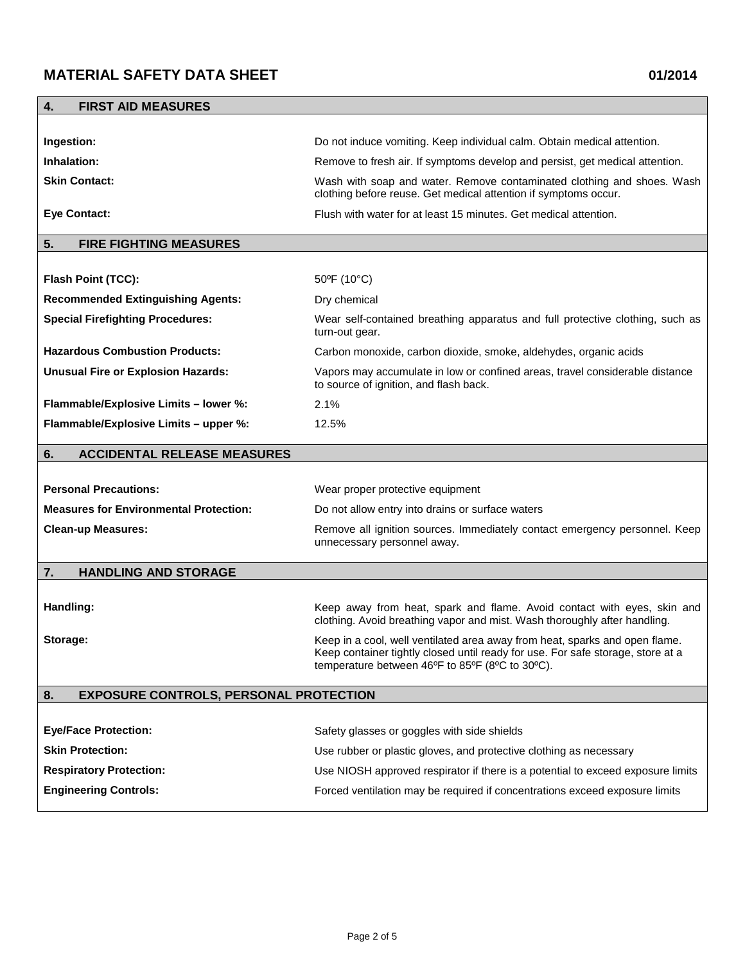| <b>FIRST AID MEASURES</b><br>4.                     |                                                                                                                                                                                                                   |  |  |  |
|-----------------------------------------------------|-------------------------------------------------------------------------------------------------------------------------------------------------------------------------------------------------------------------|--|--|--|
|                                                     |                                                                                                                                                                                                                   |  |  |  |
| Ingestion:                                          | Do not induce vomiting. Keep individual calm. Obtain medical attention.                                                                                                                                           |  |  |  |
| Inhalation:                                         | Remove to fresh air. If symptoms develop and persist, get medical attention.                                                                                                                                      |  |  |  |
| <b>Skin Contact:</b>                                | Wash with soap and water. Remove contaminated clothing and shoes. Wash<br>clothing before reuse. Get medical attention if symptoms occur.                                                                         |  |  |  |
| <b>Eye Contact:</b>                                 | Flush with water for at least 15 minutes. Get medical attention.                                                                                                                                                  |  |  |  |
| <b>FIRE FIGHTING MEASURES</b><br>5.                 |                                                                                                                                                                                                                   |  |  |  |
|                                                     |                                                                                                                                                                                                                   |  |  |  |
| Flash Point (TCC):                                  | $50^{\circ}$ F (10 $^{\circ}$ C)                                                                                                                                                                                  |  |  |  |
| <b>Recommended Extinguishing Agents:</b>            | Dry chemical                                                                                                                                                                                                      |  |  |  |
| <b>Special Firefighting Procedures:</b>             | Wear self-contained breathing apparatus and full protective clothing, such as<br>turn-out gear.                                                                                                                   |  |  |  |
| <b>Hazardous Combustion Products:</b>               | Carbon monoxide, carbon dioxide, smoke, aldehydes, organic acids                                                                                                                                                  |  |  |  |
| <b>Unusual Fire or Explosion Hazards:</b>           | Vapors may accumulate in low or confined areas, travel considerable distance<br>to source of ignition, and flash back.                                                                                            |  |  |  |
| Flammable/Explosive Limits - lower %:               | 2.1%                                                                                                                                                                                                              |  |  |  |
| Flammable/Explosive Limits - upper %:               | 12.5%                                                                                                                                                                                                             |  |  |  |
| <b>ACCIDENTAL RELEASE MEASURES</b><br>6.            |                                                                                                                                                                                                                   |  |  |  |
|                                                     |                                                                                                                                                                                                                   |  |  |  |
| <b>Personal Precautions:</b>                        | Wear proper protective equipment                                                                                                                                                                                  |  |  |  |
| <b>Measures for Environmental Protection:</b>       | Do not allow entry into drains or surface waters                                                                                                                                                                  |  |  |  |
| <b>Clean-up Measures:</b>                           | Remove all ignition sources. Immediately contact emergency personnel. Keep<br>unnecessary personnel away.                                                                                                         |  |  |  |
| <b>HANDLING AND STORAGE</b><br>7.                   |                                                                                                                                                                                                                   |  |  |  |
|                                                     |                                                                                                                                                                                                                   |  |  |  |
| Handling:                                           | Keep away from heat, spark and flame. Avoid contact with eyes, skin and<br>clothing. Avoid breathing vapor and mist. Wash thoroughly after handling.                                                              |  |  |  |
| Storage:                                            | Keep in a cool, well ventilated area away from heat, sparks and open flame.<br>Keep container tightly closed until ready for use. For safe storage, store at a<br>temperature between 46°F to 85°F (8°C to 30°C). |  |  |  |
| 8.<br><b>EXPOSURE CONTROLS, PERSONAL PROTECTION</b> |                                                                                                                                                                                                                   |  |  |  |
|                                                     |                                                                                                                                                                                                                   |  |  |  |
| <b>Eye/Face Protection:</b>                         | Safety glasses or goggles with side shields                                                                                                                                                                       |  |  |  |
| <b>Skin Protection:</b>                             | Use rubber or plastic gloves, and protective clothing as necessary                                                                                                                                                |  |  |  |
| <b>Respiratory Protection:</b>                      | Use NIOSH approved respirator if there is a potential to exceed exposure limits                                                                                                                                   |  |  |  |
| <b>Engineering Controls:</b>                        | Forced ventilation may be required if concentrations exceed exposure limits                                                                                                                                       |  |  |  |
|                                                     |                                                                                                                                                                                                                   |  |  |  |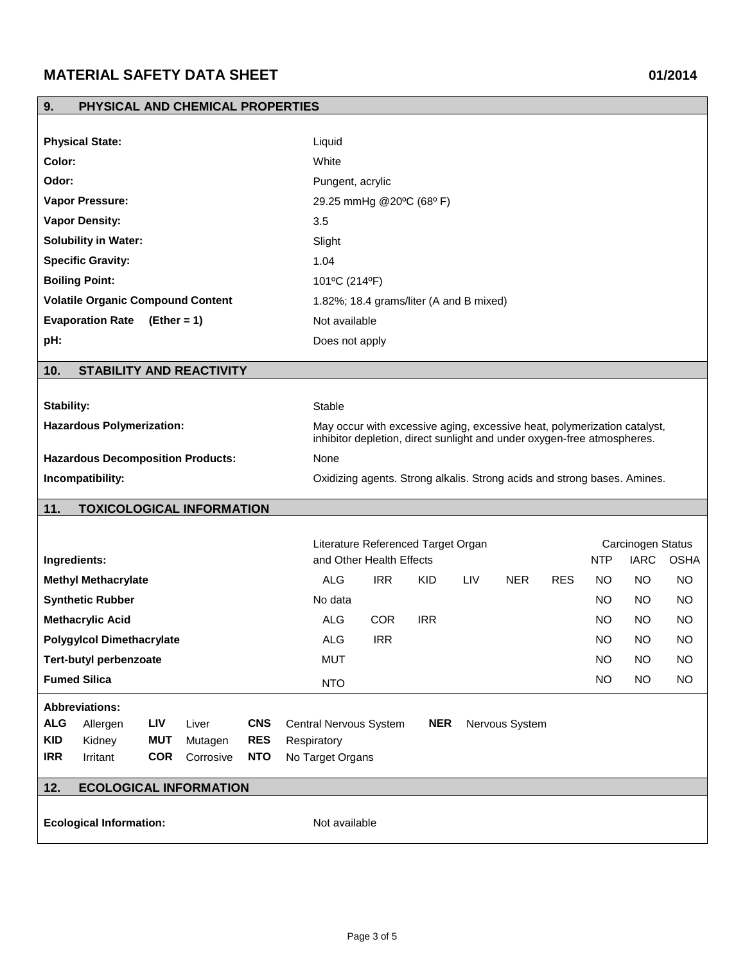| PHYSICAL AND CHEMICAL PROPERTIES<br>9.                          |                                                                                                                                                     |             |  |  |  |  |
|-----------------------------------------------------------------|-----------------------------------------------------------------------------------------------------------------------------------------------------|-------------|--|--|--|--|
|                                                                 |                                                                                                                                                     |             |  |  |  |  |
| <b>Physical State:</b>                                          | Liquid                                                                                                                                              |             |  |  |  |  |
| Color:                                                          | White                                                                                                                                               |             |  |  |  |  |
| Odor:                                                           | Pungent, acrylic                                                                                                                                    |             |  |  |  |  |
| <b>Vapor Pressure:</b>                                          | 29.25 mmHg @20°C (68°F)                                                                                                                             |             |  |  |  |  |
| <b>Vapor Density:</b>                                           | 3.5                                                                                                                                                 |             |  |  |  |  |
| <b>Solubility in Water:</b>                                     | Slight                                                                                                                                              |             |  |  |  |  |
| <b>Specific Gravity:</b>                                        | 1.04                                                                                                                                                |             |  |  |  |  |
| <b>Boiling Point:</b>                                           | 101°C (214°F)                                                                                                                                       |             |  |  |  |  |
| <b>Volatile Organic Compound Content</b>                        | 1.82%; 18.4 grams/liter (A and B mixed)                                                                                                             |             |  |  |  |  |
| <b>Evaporation Rate</b><br>$(Ether = 1)$                        | Not available                                                                                                                                       |             |  |  |  |  |
| pH:                                                             | Does not apply                                                                                                                                      |             |  |  |  |  |
| 10.<br><b>STABILITY AND REACTIVITY</b>                          |                                                                                                                                                     |             |  |  |  |  |
|                                                                 |                                                                                                                                                     |             |  |  |  |  |
| Stability:                                                      |                                                                                                                                                     | Stable      |  |  |  |  |
| <b>Hazardous Polymerization:</b>                                | May occur with excessive aging, excessive heat, polymerization catalyst,<br>inhibitor depletion, direct sunlight and under oxygen-free atmospheres. |             |  |  |  |  |
| <b>Hazardous Decomposition Products:</b>                        | None                                                                                                                                                |             |  |  |  |  |
| Incompatibility:                                                | Oxidizing agents. Strong alkalis. Strong acids and strong bases. Amines.                                                                            |             |  |  |  |  |
| 11.<br><b>TOXICOLOGICAL INFORMATION</b>                         |                                                                                                                                                     |             |  |  |  |  |
|                                                                 |                                                                                                                                                     |             |  |  |  |  |
| Ingredients:                                                    | Literature Referenced Target Organ<br>Carcinogen Status<br><b>IARC</b><br>and Other Health Effects<br><b>NTP</b>                                    | <b>OSHA</b> |  |  |  |  |
| <b>Methyl Methacrylate</b>                                      | <b>ALG</b><br><b>IRR</b><br><b>KID</b><br><b>LIV</b><br><b>NER</b><br><b>NO</b><br><b>RES</b><br>NO.                                                | <b>NO</b>   |  |  |  |  |
| <b>Synthetic Rubber</b>                                         | No data<br>NO.<br>NO.                                                                                                                               | NO.         |  |  |  |  |
| <b>Methacrylic Acid</b>                                         | <b>ALG</b><br><b>COR</b><br><b>IRR</b><br>NO<br><b>NO</b>                                                                                           | NO.         |  |  |  |  |
| <b>Polygylcol Dimethacrylate</b>                                | <b>ALG</b><br><b>IRR</b><br>$NO$<br><b>NO</b>                                                                                                       | <b>NO</b>   |  |  |  |  |
| <b>Tert-butyl perbenzoate</b>                                   | <b>MUT</b><br><b>NO</b><br><b>NO</b>                                                                                                                | <b>NO</b>   |  |  |  |  |
| <b>Fumed Silica</b>                                             | <b>NO</b><br><b>NO</b><br><b>NTO</b>                                                                                                                | <b>NO</b>   |  |  |  |  |
| <b>Abbreviations:</b>                                           |                                                                                                                                                     |             |  |  |  |  |
| <b>ALG</b><br>Allergen<br>Liver<br><b>CNS</b><br>LIV            | Central Nervous System<br><b>NER</b><br>Nervous System                                                                                              |             |  |  |  |  |
| <b>KID</b><br><b>MUT</b><br><b>RES</b><br>Kidney<br>Mutagen     | Respiratory                                                                                                                                         |             |  |  |  |  |
| <b>IRR</b><br><b>COR</b><br><b>NTO</b><br>Irritant<br>Corrosive | No Target Organs                                                                                                                                    |             |  |  |  |  |
| 12.<br><b>ECOLOGICAL INFORMATION</b>                            |                                                                                                                                                     |             |  |  |  |  |
| <b>Ecological Information:</b>                                  | Not available                                                                                                                                       |             |  |  |  |  |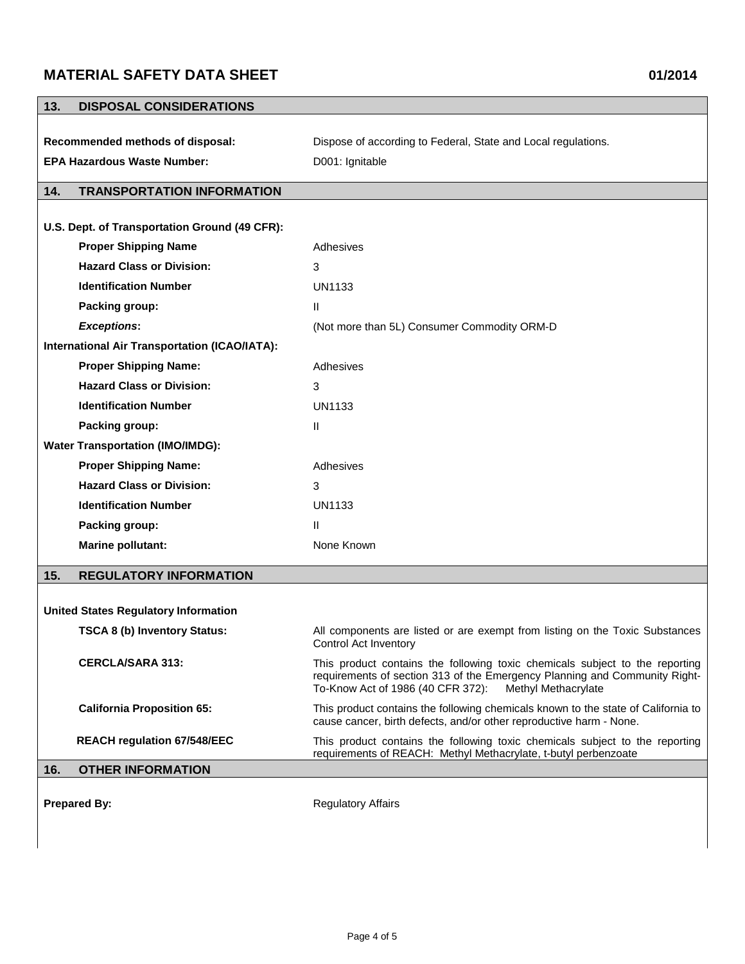| 13.<br><b>DISPOSAL CONSIDERATIONS</b>                |                                                                                                                                                                                                                        |
|------------------------------------------------------|------------------------------------------------------------------------------------------------------------------------------------------------------------------------------------------------------------------------|
|                                                      |                                                                                                                                                                                                                        |
| Recommended methods of disposal:                     | Dispose of according to Federal, State and Local regulations.                                                                                                                                                          |
| <b>EPA Hazardous Waste Number:</b>                   | D001: Ignitable                                                                                                                                                                                                        |
| <b>TRANSPORTATION INFORMATION</b><br>14.             |                                                                                                                                                                                                                        |
|                                                      |                                                                                                                                                                                                                        |
| U.S. Dept. of Transportation Ground (49 CFR):        |                                                                                                                                                                                                                        |
| <b>Proper Shipping Name</b>                          | Adhesives                                                                                                                                                                                                              |
| <b>Hazard Class or Division:</b>                     | 3                                                                                                                                                                                                                      |
| <b>Identification Number</b>                         | <b>UN1133</b>                                                                                                                                                                                                          |
| Packing group:                                       | $\mathbf{H}$                                                                                                                                                                                                           |
| <b>Exceptions:</b>                                   | (Not more than 5L) Consumer Commodity ORM-D                                                                                                                                                                            |
| <b>International Air Transportation (ICAO/IATA):</b> |                                                                                                                                                                                                                        |
| <b>Proper Shipping Name:</b>                         | Adhesives                                                                                                                                                                                                              |
| <b>Hazard Class or Division:</b>                     | 3                                                                                                                                                                                                                      |
| <b>Identification Number</b>                         | <b>UN1133</b>                                                                                                                                                                                                          |
| Packing group:                                       | $\mathbf{H}$                                                                                                                                                                                                           |
| <b>Water Transportation (IMO/IMDG):</b>              |                                                                                                                                                                                                                        |
| <b>Proper Shipping Name:</b>                         | Adhesives                                                                                                                                                                                                              |
| <b>Hazard Class or Division:</b>                     | 3                                                                                                                                                                                                                      |
| <b>Identification Number</b>                         | UN1133                                                                                                                                                                                                                 |
| Packing group:                                       | $\mathbf{H}$                                                                                                                                                                                                           |
| <b>Marine pollutant:</b>                             | None Known                                                                                                                                                                                                             |
| 15.<br><b>REGULATORY INFORMATION</b>                 |                                                                                                                                                                                                                        |
|                                                      |                                                                                                                                                                                                                        |
| <b>United States Regulatory Information</b>          |                                                                                                                                                                                                                        |
| <b>TSCA 8 (b) Inventory Status:</b>                  | All components are listed or are exempt from listing on the Toxic Substances<br>Control Act Inventory                                                                                                                  |
| <b>CERCLA/SARA 313:</b>                              | This product contains the following toxic chemicals subject to the reporting<br>requirements of section 313 of the Emergency Planning and Community Right-<br>To-Know Act of 1986 (40 CFR 372):<br>Methyl Methacrylate |
| <b>California Proposition 65:</b>                    | This product contains the following chemicals known to the state of California to<br>cause cancer, birth defects, and/or other reproductive harm - None.                                                               |
| <b>REACH regulation 67/548/EEC</b>                   | This product contains the following toxic chemicals subject to the reporting<br>requirements of REACH: Methyl Methacrylate, t-butyl perbenzoate                                                                        |
| <b>OTHER INFORMATION</b><br>16.                      |                                                                                                                                                                                                                        |
| <b>Prepared By:</b>                                  | <b>Regulatory Affairs</b>                                                                                                                                                                                              |